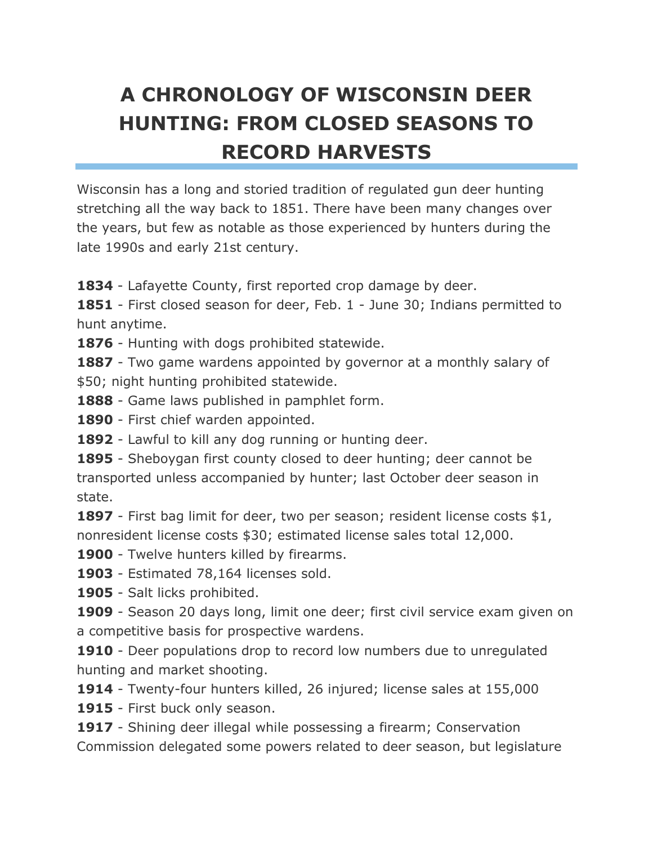## **A CHRONOLOGY OF WISCONSIN DEER HUNTING: FROM CLOSED SEASONS TO RECORD HARVESTS**

Wisconsin has a long and storied tradition of regulated gun deer hunting stretching all the way back to 1851. There have been many changes over the years, but few as notable as those experienced by hunters during the late 1990s and early 21st century.

**1834** - Lafayette County, first reported crop damage by deer.

**1851** - First closed season for deer, Feb. 1 - June 30; Indians permitted to hunt anytime.

**1876** - Hunting with dogs prohibited statewide.

**1887** - Two game wardens appointed by governor at a monthly salary of \$50; night hunting prohibited statewide.

**1888** - Game laws published in pamphlet form.

**1890** - First chief warden appointed.

**1892** - Lawful to kill any dog running or hunting deer.

**1895** - Sheboygan first county closed to deer hunting; deer cannot be transported unless accompanied by hunter; last October deer season in state.

**1897** - First bag limit for deer, two per season; resident license costs \$1, nonresident license costs \$30; estimated license sales total 12,000.

1900 - Twelve hunters killed by firearms.

**1903** - Estimated 78,164 licenses sold.

**1905** - Salt licks prohibited.

**1909** - Season 20 days long, limit one deer; first civil service exam given on a competitive basis for prospective wardens.

**1910** - Deer populations drop to record low numbers due to unregulated hunting and market shooting.

**1914** - Twenty-four hunters killed, 26 injured; license sales at 155,000

**1915** - First buck only season.

**1917** - Shining deer illegal while possessing a firearm; Conservation Commission delegated some powers related to deer season, but legislature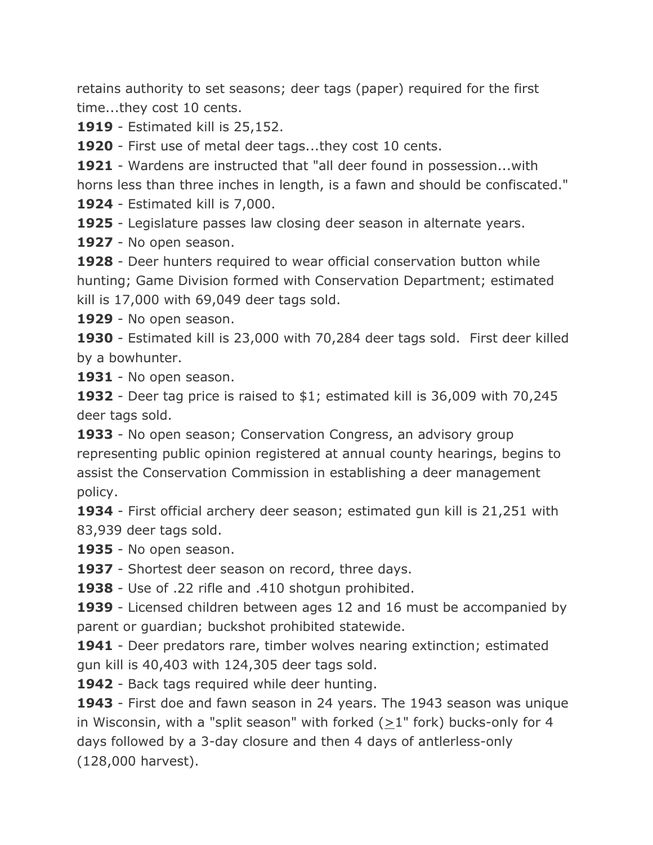retains authority to set seasons; deer tags (paper) required for the first time...they cost 10 cents.

**1919** - Estimated kill is 25,152.

**1920** - First use of metal deer tags...they cost 10 cents.

**1921** - Wardens are instructed that "all deer found in possession...with horns less than three inches in length, is a fawn and should be confiscated."

**1924** - Estimated kill is 7,000.

**1925** - Legislature passes law closing deer season in alternate years.

**1927** - No open season.

**1928** - Deer hunters required to wear official conservation button while hunting; Game Division formed with Conservation Department; estimated kill is 17,000 with 69,049 deer tags sold.

**1929** - No open season.

**1930** - Estimated kill is 23,000 with 70,284 deer tags sold. First deer killed by a bowhunter.

**1931** - No open season.

**1932** - Deer tag price is raised to \$1; estimated kill is 36,009 with 70,245 deer tags sold.

**1933** - No open season; Conservation Congress, an advisory group representing public opinion registered at annual county hearings, begins to assist the Conservation Commission in establishing a deer management policy.

**1934** - First official archery deer season; estimated gun kill is 21,251 with 83,939 deer tags sold.

**1935** - No open season.

**1937** - Shortest deer season on record, three days.

**1938** - Use of .22 rifle and .410 shotgun prohibited.

**1939** - Licensed children between ages 12 and 16 must be accompanied by parent or guardian; buckshot prohibited statewide.

**1941** - Deer predators rare, timber wolves nearing extinction; estimated gun kill is 40,403 with 124,305 deer tags sold.

**1942** - Back tags required while deer hunting.

**1943** - First doe and fawn season in 24 years. The 1943 season was unique in Wisconsin, with a "split season" with forked  $(>1"$  fork) bucks-only for 4 days followed by a 3-day closure and then 4 days of antlerless-only (128,000 harvest).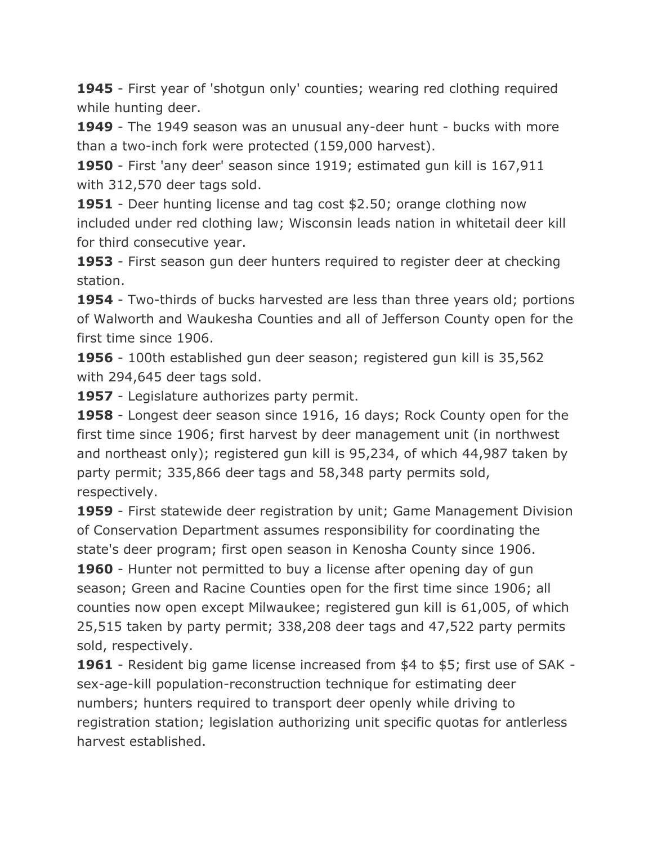**1945** - First year of 'shotgun only' counties; wearing red clothing required while hunting deer.

**1949** - The 1949 season was an unusual any-deer hunt - bucks with more than a two-inch fork were protected (159,000 harvest).

**1950** - First 'any deer' season since 1919; estimated gun kill is 167,911 with 312,570 deer tags sold.

**1951** - Deer hunting license and tag cost \$2.50; orange clothing now included under red clothing law; Wisconsin leads nation in whitetail deer kill for third consecutive year.

**1953** - First season gun deer hunters required to register deer at checking station.

**1954** - Two-thirds of bucks harvested are less than three years old; portions of Walworth and Waukesha Counties and all of Jefferson County open for the first time since 1906.

**1956** - 100th established gun deer season; registered gun kill is 35,562 with 294,645 deer tags sold.

**1957** - Legislature authorizes party permit.

**1958** - Longest deer season since 1916, 16 days; Rock County open for the first time since 1906; first harvest by deer management unit (in northwest and northeast only); registered gun kill is 95,234, of which 44,987 taken by party permit; 335,866 deer tags and 58,348 party permits sold, respectively.

**1959** - First statewide deer registration by unit; Game Management Division of Conservation Department assumes responsibility for coordinating the state's deer program; first open season in Kenosha County since 1906.

**1960** - Hunter not permitted to buy a license after opening day of gun season; Green and Racine Counties open for the first time since 1906; all counties now open except Milwaukee; registered gun kill is 61,005, of which 25,515 taken by party permit; 338,208 deer tags and 47,522 party permits sold, respectively.

**1961** - Resident big game license increased from \$4 to \$5; first use of SAK sex-age-kill population-reconstruction technique for estimating deer numbers; hunters required to transport deer openly while driving to registration station; legislation authorizing unit specific quotas for antlerless harvest established.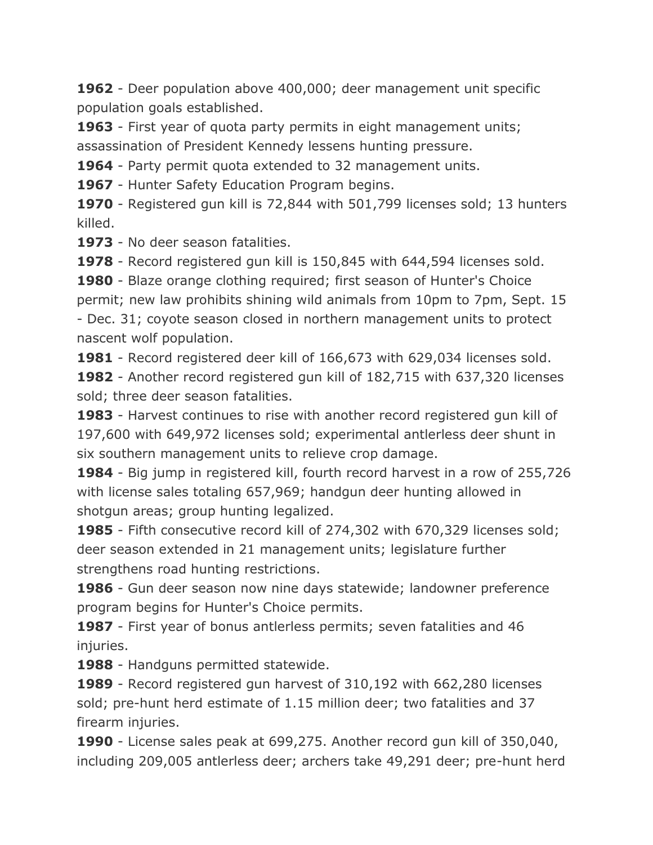**1962** - Deer population above 400,000; deer management unit specific population goals established.

**1963** - First year of quota party permits in eight management units; assassination of President Kennedy lessens hunting pressure.

**1964** - Party permit quota extended to 32 management units.

**1967** - Hunter Safety Education Program begins.

**1970** - Registered gun kill is 72,844 with 501,799 licenses sold; 13 hunters killed.

**1973** - No deer season fatalities.

**1978** - Record registered gun kill is 150,845 with 644,594 licenses sold.

**1980** - Blaze orange clothing required; first season of Hunter's Choice permit; new law prohibits shining wild animals from 10pm to 7pm, Sept. 15 - Dec. 31; coyote season closed in northern management units to protect nascent wolf population.

**1981** - Record registered deer kill of 166,673 with 629,034 licenses sold.

**1982** - Another record registered gun kill of 182,715 with 637,320 licenses sold; three deer season fatalities.

**1983** - Harvest continues to rise with another record registered gun kill of 197,600 with 649,972 licenses sold; experimental antlerless deer shunt in six southern management units to relieve crop damage.

**1984** - Big jump in registered kill, fourth record harvest in a row of 255,726 with license sales totaling 657,969; handgun deer hunting allowed in shotgun areas; group hunting legalized.

**1985** - Fifth consecutive record kill of 274,302 with 670,329 licenses sold; deer season extended in 21 management units; legislature further strengthens road hunting restrictions.

**1986** - Gun deer season now nine days statewide; landowner preference program begins for Hunter's Choice permits.

**1987** - First year of bonus antlerless permits; seven fatalities and 46 injuries.

**1988** - Handguns permitted statewide.

**1989** - Record registered gun harvest of 310,192 with 662,280 licenses sold; pre-hunt herd estimate of 1.15 million deer; two fatalities and 37 firearm injuries.

**1990** - License sales peak at 699,275. Another record gun kill of 350,040, including 209,005 antlerless deer; archers take 49,291 deer; pre-hunt herd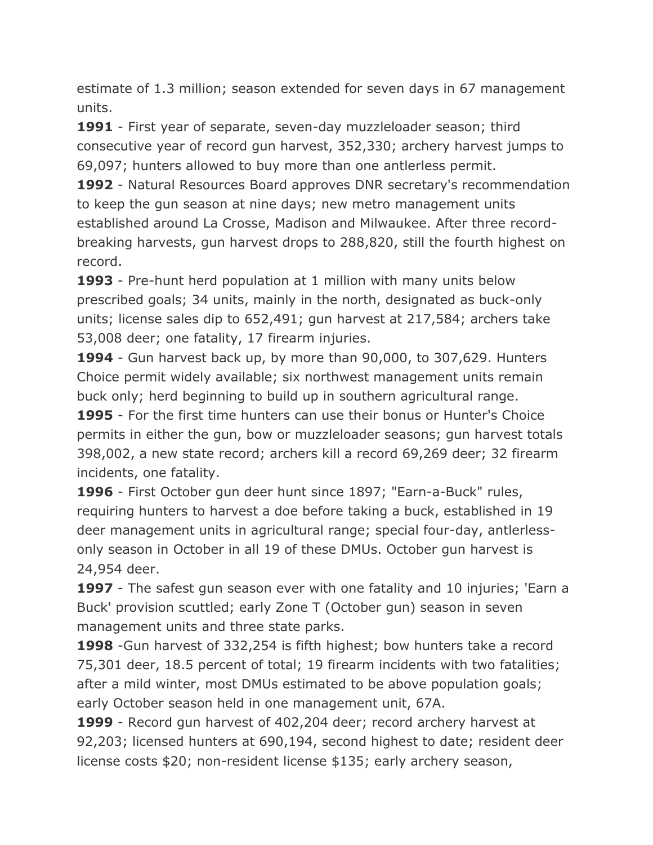estimate of 1.3 million; season extended for seven days in 67 management units.

**1991** - First year of separate, seven-day muzzleloader season; third consecutive year of record gun harvest, 352,330; archery harvest jumps to 69,097; hunters allowed to buy more than one antlerless permit.

**1992** - Natural Resources Board approves DNR secretary's recommendation to keep the gun season at nine days; new metro management units established around La Crosse, Madison and Milwaukee. After three recordbreaking harvests, gun harvest drops to 288,820, still the fourth highest on record.

**1993** - Pre-hunt herd population at 1 million with many units below prescribed goals; 34 units, mainly in the north, designated as buck-only units; license sales dip to 652,491; gun harvest at 217,584; archers take 53,008 deer; one fatality, 17 firearm injuries.

**1994** - Gun harvest back up, by more than 90,000, to 307,629. Hunters Choice permit widely available; six northwest management units remain buck only; herd beginning to build up in southern agricultural range.

**1995** - For the first time hunters can use their bonus or Hunter's Choice permits in either the gun, bow or muzzleloader seasons; gun harvest totals 398,002, a new state record; archers kill a record 69,269 deer; 32 firearm incidents, one fatality.

**1996** - First October gun deer hunt since 1897; "Earn-a-Buck" rules, requiring hunters to harvest a doe before taking a buck, established in 19 deer management units in agricultural range; special four-day, antlerlessonly season in October in all 19 of these DMUs. October gun harvest is 24,954 deer.

**1997** - The safest gun season ever with one fatality and 10 injuries; 'Earn a Buck' provision scuttled; early Zone T (October gun) season in seven management units and three state parks.

**1998** -Gun harvest of 332,254 is fifth highest; bow hunters take a record 75,301 deer, 18.5 percent of total; 19 firearm incidents with two fatalities; after a mild winter, most DMUs estimated to be above population goals; early October season held in one management unit, 67A.

**1999** - Record gun harvest of 402,204 deer; record archery harvest at 92,203; licensed hunters at 690,194, second highest to date; resident deer license costs \$20; non-resident license \$135; early archery season,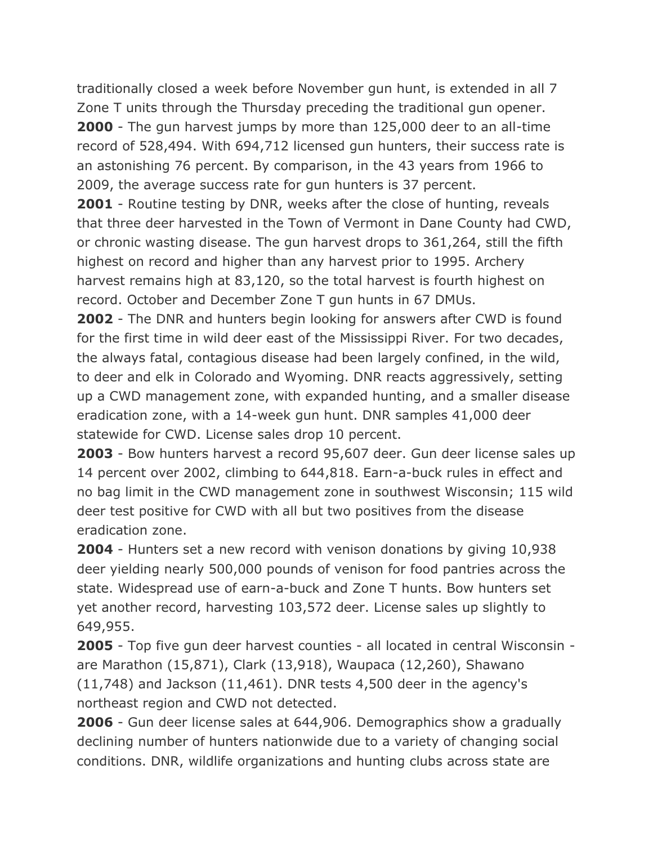traditionally closed a week before November gun hunt, is extended in all 7 Zone T units through the Thursday preceding the traditional gun opener. **2000** - The gun harvest jumps by more than 125,000 deer to an all-time record of 528,494. With 694,712 licensed gun hunters, their success rate is an astonishing 76 percent. By comparison, in the 43 years from 1966 to 2009, the average success rate for gun hunters is 37 percent.

**2001** - Routine testing by DNR, weeks after the close of hunting, reveals that three deer harvested in the Town of Vermont in Dane County had CWD, or chronic wasting disease. The gun harvest drops to 361,264, still the fifth highest on record and higher than any harvest prior to 1995. Archery harvest remains high at 83,120, so the total harvest is fourth highest on record. October and December Zone T gun hunts in 67 DMUs.

**2002** - The DNR and hunters begin looking for answers after CWD is found for the first time in wild deer east of the Mississippi River. For two decades, the always fatal, contagious disease had been largely confined, in the wild, to deer and elk in Colorado and Wyoming. DNR reacts aggressively, setting up a CWD management zone, with expanded hunting, and a smaller disease eradication zone, with a 14-week gun hunt. DNR samples 41,000 deer statewide for CWD. License sales drop 10 percent.

**2003** - Bow hunters harvest a record 95,607 deer. Gun deer license sales up 14 percent over 2002, climbing to 644,818. Earn-a-buck rules in effect and no bag limit in the CWD management zone in southwest Wisconsin; 115 wild deer test positive for CWD with all but two positives from the disease eradication zone.

**2004** - Hunters set a new record with venison donations by giving 10,938 deer yielding nearly 500,000 pounds of venison for food pantries across the state. Widespread use of earn-a-buck and Zone T hunts. Bow hunters set yet another record, harvesting 103,572 deer. License sales up slightly to 649,955.

**2005** - Top five gun deer harvest counties - all located in central Wisconsin are Marathon (15,871), Clark (13,918), Waupaca (12,260), Shawano (11,748) and Jackson (11,461). DNR tests 4,500 deer in the agency's northeast region and CWD not detected.

**2006** - Gun deer license sales at 644,906. Demographics show a gradually declining number of hunters nationwide due to a variety of changing social conditions. DNR, wildlife organizations and hunting clubs across state are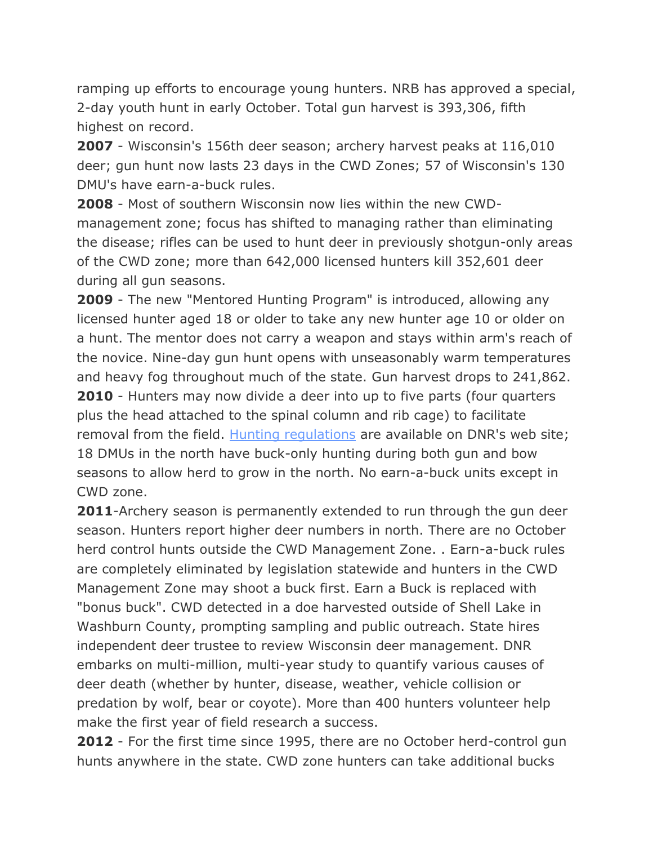ramping up efforts to encourage young hunters. NRB has approved a special, 2-day youth hunt in early October. Total gun harvest is 393,306, fifth highest on record.

**2007** - Wisconsin's 156th deer season; archery harvest peaks at 116,010 deer; gun hunt now lasts 23 days in the CWD Zones; 57 of Wisconsin's 130 DMU's have earn-a-buck rules.

**2008** - Most of southern Wisconsin now lies within the new CWDmanagement zone; focus has shifted to managing rather than eliminating the disease; rifles can be used to hunt deer in previously shotgun-only areas of the CWD zone; more than 642,000 licensed hunters kill 352,601 deer during all gun seasons.

**2009** - The new "Mentored Hunting Program" is introduced, allowing any licensed hunter aged 18 or older to take any new hunter age 10 or older on a hunt. The mentor does not carry a weapon and stays within arm's reach of the novice. Nine-day gun hunt opens with unseasonably warm temperatures and heavy fog throughout much of the state. Gun harvest drops to 241,862. **2010** - Hunters may now divide a deer into up to five parts (four quarters plus the head attached to the spinal column and rib cage) to facilitate removal from the field. [Hunting regulations](http://dnr.wi.gov/topic/hunt/regulations.html) are available on DNR's web site; 18 DMUs in the north have buck-only hunting during both gun and bow seasons to allow herd to grow in the north. No earn-a-buck units except in CWD zone.

**2011**-Archery season is permanently extended to run through the gun deer season. Hunters report higher deer numbers in north. There are no October herd control hunts outside the CWD Management Zone. . Earn-a-buck rules are completely eliminated by legislation statewide and hunters in the CWD Management Zone may shoot a buck first. Earn a Buck is replaced with "bonus buck". CWD detected in a doe harvested outside of Shell Lake in Washburn County, prompting sampling and public outreach. State hires independent deer trustee to review Wisconsin deer management. DNR embarks on multi-million, multi-year study to quantify various causes of deer death (whether by hunter, disease, weather, vehicle collision or predation by wolf, bear or coyote). More than 400 hunters volunteer help make the first year of field research a success.

**2012** - For the first time since 1995, there are no October herd-control gun hunts anywhere in the state. CWD zone hunters can take additional bucks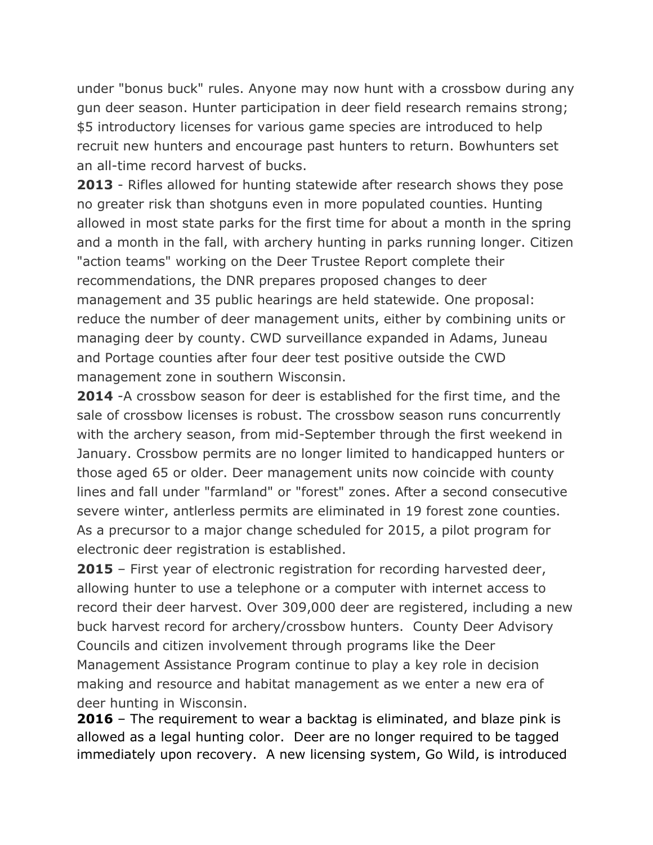under "bonus buck" rules. Anyone may now hunt with a crossbow during any gun deer season. Hunter participation in deer field research remains strong; \$5 introductory licenses for various game species are introduced to help recruit new hunters and encourage past hunters to return. Bowhunters set an all-time record harvest of bucks.

**2013** - Rifles allowed for hunting statewide after research shows they pose no greater risk than shotguns even in more populated counties. Hunting allowed in most state parks for the first time for about a month in the spring and a month in the fall, with archery hunting in parks running longer. Citizen "action teams" working on the Deer Trustee Report complete their recommendations, the DNR prepares proposed changes to deer management and 35 public hearings are held statewide. One proposal: reduce the number of deer management units, either by combining units or managing deer by county. CWD surveillance expanded in Adams, Juneau and Portage counties after four deer test positive outside the CWD management zone in southern Wisconsin.

**2014** -A crossbow season for deer is established for the first time, and the sale of crossbow licenses is robust. The crossbow season runs concurrently with the archery season, from mid-September through the first weekend in January. Crossbow permits are no longer limited to handicapped hunters or those aged 65 or older. Deer management units now coincide with county lines and fall under "farmland" or "forest" zones. After a second consecutive severe winter, antlerless permits are eliminated in 19 forest zone counties. As a precursor to a major change scheduled for 2015, a pilot program for electronic deer registration is established.

**2015** – First year of electronic registration for recording harvested deer, allowing hunter to use a telephone or a computer with internet access to record their deer harvest. Over 309,000 deer are registered, including a new buck harvest record for archery/crossbow hunters. County Deer Advisory Councils and citizen involvement through programs like the Deer Management Assistance Program continue to play a key role in decision making and resource and habitat management as we enter a new era of deer hunting in Wisconsin.

**2016** – The requirement to wear a backtag is eliminated, and blaze pink is allowed as a legal hunting color. Deer are no longer required to be tagged immediately upon recovery. A new licensing system, Go Wild, is introduced